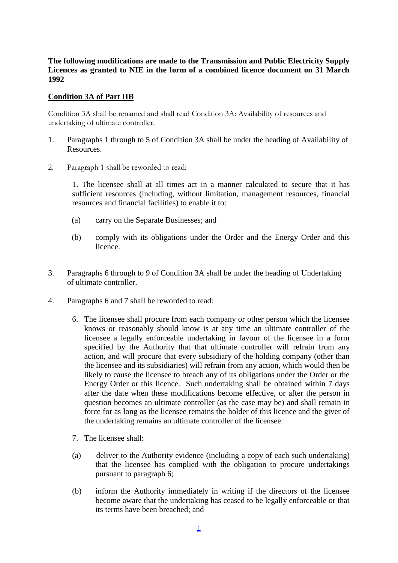## **The following modifications are made to the Transmission and Public Electricity Supply Licences as granted to NIE in the form of a combined licence document on 31 March 1992**

## **Condition 3A of Part IIB**

Condition 3A shall be renamed and shall read Condition 3A: Availability of resources and undertaking of ultimate controller.

- 1. Paragraphs 1 through to 5 of Condition 3A shall be under the heading of Availability of Resources.
- 2. Paragraph 1 shall be reworded to read:

1. The licensee shall at all times act in a manner calculated to secure that it has sufficient resources (including, without limitation, management resources, financial resources and financial facilities) to enable it to:

- (a) carry on the Separate Businesses; and
- (b) comply with its obligations under the Order and the Energy Order and this licence.
- 3. Paragraphs 6 through to 9 of Condition 3A shall be under the heading of Undertaking of ultimate controller.
- 4. Paragraphs 6 and 7 shall be reworded to read:
	- 6. The licensee shall procure from each company or other person which the licensee knows or reasonably should know is at any time an ultimate controller of the licensee a legally enforceable undertaking in favour of the licensee in a form specified by the Authority that that ultimate controller will refrain from any action, and will procure that every subsidiary of the holding company (other than the licensee and its subsidiaries) will refrain from any action, which would then be likely to cause the licensee to breach any of its obligations under the Order or the Energy Order or this licence. Such undertaking shall be obtained within 7 days after the date when these modifications become effective, or after the person in question becomes an ultimate controller (as the case may be) and shall remain in force for as long as the licensee remains the holder of this licence and the giver of the undertaking remains an ultimate controller of the licensee.
	- 7. The licensee shall:
	- (a) deliver to the Authority evidence (including a copy of each such undertaking) that the licensee has complied with the obligation to procure undertakings pursuant to paragraph 6;
	- (b) inform the Authority immediately in writing if the directors of the licensee become aware that the undertaking has ceased to be legally enforceable or that its terms have been breached; and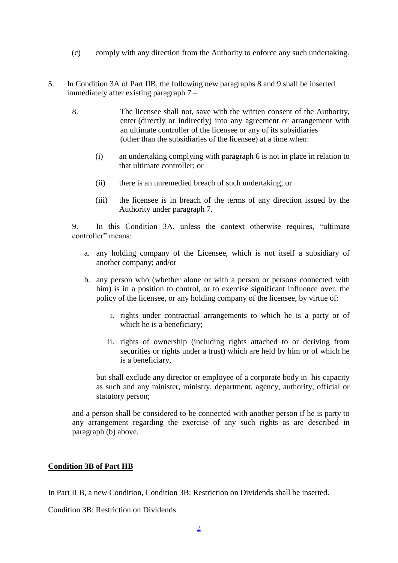- (c) comply with any direction from the Authority to enforce any such undertaking.
- 5. In Condition 3A of Part IIB, the following new paragraphs 8 and 9 shall be inserted immediately after existing paragraph 7 –
	- 8. The licensee shall not, save with the written consent of the Authority, enter (directly or indirectly) into any agreement or arrangement with an ultimate controller of the licensee or any of its subsidiaries (other than the subsidiaries of the licensee) at a time when:
		- (i) an undertaking complying with paragraph 6 is not in place in relation to that ultimate controller; or
		- (ii) there is an unremedied breach of such undertaking; or
		- (iii) the licensee is in breach of the terms of any direction issued by the Authority under paragraph 7.

9. In this Condition 3A, unless the context otherwise requires, "ultimate controller" means:

- a. any holding company of the Licensee, which is not itself a subsidiary of another company; and/or
- b. any person who (whether alone or with a person or persons connected with him) is in a position to control, or to exercise significant influence over, the policy of the licensee, or any holding company of the licensee, by virtue of:
	- i. rights under contractual arrangements to which he is a party or of which he is a beneficiary;
	- ii. rights of ownership (including rights attached to or deriving from securities or rights under a trust) which are held by him or of which he is a beneficiary,

but shall exclude any director or employee of a corporate body in his capacity as such and any minister, ministry, department, agency, authority, official or statutory person;

and a person shall be considered to be connected with another person if he is party to any arrangement regarding the exercise of any such rights as are described in paragraph (b) above.

## **Condition 3B of Part IIB**

In Part II B, a new Condition, Condition 3B: Restriction on Dividends shall be inserted.

Condition 3B: Restriction on Dividends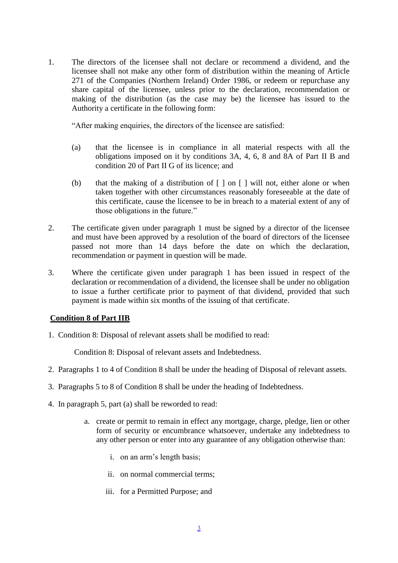1. The directors of the licensee shall not declare or recommend a dividend, and the licensee shall not make any other form of distribution within the meaning of Article 271 of the Companies (Northern Ireland) Order 1986, or redeem or repurchase any share capital of the licensee, unless prior to the declaration, recommendation or making of the distribution (as the case may be) the licensee has issued to the Authority a certificate in the following form:

"After making enquiries, the directors of the licensee are satisfied:

- (a) that the licensee is in compliance in all material respects with all the obligations imposed on it by conditions 3A, 4, 6, 8 and 8A of Part II B and condition 20 of Part II G of its licence; and
- (b) that the making of a distribution of  $\lceil \cdot \rceil$  on  $\lceil \cdot \rceil$  will not, either alone or when taken together with other circumstances reasonably foreseeable at the date of this certificate, cause the licensee to be in breach to a material extent of any of those obligations in the future."
- 2. The certificate given under paragraph 1 must be signed by a director of the licensee and must have been approved by a resolution of the board of directors of the licensee passed not more than 14 days before the date on which the declaration, recommendation or payment in question will be made.
- 3. Where the certificate given under paragraph 1 has been issued in respect of the declaration or recommendation of a dividend, the licensee shall be under no obligation to issue a further certificate prior to payment of that dividend, provided that such payment is made within six months of the issuing of that certificate.

# **Condition 8 of Part IIB**

1. Condition 8: Disposal of relevant assets shall be modified to read:

Condition 8: Disposal of relevant assets and Indebtedness.

- 2. Paragraphs 1 to 4 of Condition 8 shall be under the heading of Disposal of relevant assets.
- 3. Paragraphs 5 to 8 of Condition 8 shall be under the heading of Indebtedness.
- 4. In paragraph 5, part (a) shall be reworded to read:
	- a. create or permit to remain in effect any mortgage, charge, pledge, lien or other form of security or encumbrance whatsoever, undertake any indebtedness to any other person or enter into any guarantee of any obligation otherwise than:
		- i. on an arm's length basis;
		- ii. on normal commercial terms;
		- iii. for a Permitted Purpose; and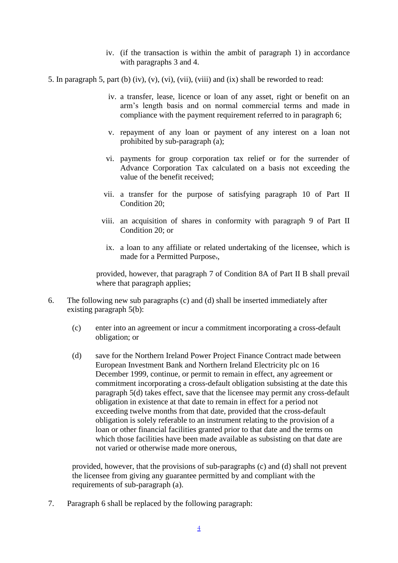- iv. (if the transaction is within the ambit of paragraph 1) in accordance with paragraphs 3 and 4.
- 5. In paragraph 5, part (b) (iv), (v), (vi), (vii), (viii) and (ix) shall be reworded to read:
	- iv. a transfer, lease, licence or loan of any asset, right or benefit on an arm's length basis and on normal commercial terms and made in compliance with the payment requirement referred to in paragraph 6;
	- v. repayment of any loan or payment of any interest on a loan not prohibited by sub-paragraph (a);
	- vi. payments for group corporation tax relief or for the surrender of Advance Corporation Tax calculated on a basis not exceeding the value of the benefit received;
	- vii. a transfer for the purpose of satisfying paragraph 10 of Part II Condition 20;
	- viii. an acquisition of shares in conformity with paragraph 9 of Part II Condition 20; or
		- ix. a loan to any affiliate or related undertaking of the licensee, which is made for a Permitted Purpose.,

provided, however, that paragraph 7 of Condition 8A of Part II B shall prevail where that paragraph applies;

- 6. The following new sub paragraphs (c) and (d) shall be inserted immediately after existing paragraph 5(b):
	- (c) enter into an agreement or incur a commitment incorporating a cross-default obligation; or
	- (d) save for the Northern Ireland Power Project Finance Contract made between European Investment Bank and Northern Ireland Electricity plc on 16 December 1999, continue, or permit to remain in effect, any agreement or commitment incorporating a cross-default obligation subsisting at the date this paragraph 5(d) takes effect, save that the licensee may permit any cross-default obligation in existence at that date to remain in effect for a period not exceeding twelve months from that date, provided that the cross-default obligation is solely referable to an instrument relating to the provision of a loan or other financial facilities granted prior to that date and the terms on which those facilities have been made available as subsisting on that date are not varied or otherwise made more onerous,

provided, however, that the provisions of sub-paragraphs (c) and (d) shall not prevent the licensee from giving any guarantee permitted by and compliant with the requirements of sub-paragraph (a).

7. Paragraph 6 shall be replaced by the following paragraph: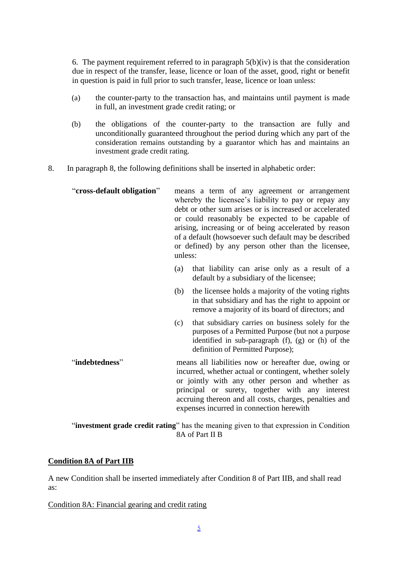6. The payment requirement referred to in paragraph  $5(b)(iv)$  is that the consideration due in respect of the transfer, lease, licence or loan of the asset, good, right or benefit in question is paid in full prior to such transfer, lease, licence or loan unless:

- (a) the counter-party to the transaction has, and maintains until payment is made in full, an investment grade credit rating; or
- (b) the obligations of the counter-party to the transaction are fully and unconditionally guaranteed throughout the period during which any part of the consideration remains outstanding by a guarantor which has and maintains an investment grade credit rating.
- 8. In paragraph 8, the following definitions shall be inserted in alphabetic order:

| "cross-default obligation" | unless: | means a term of any agreement or arrangement<br>whereby the licensee's liability to pay or repay any<br>debt or other sum arises or is increased or accelerated<br>or could reasonably be expected to be capable of<br>arising, increasing or of being accelerated by reason<br>of a default (howsoever such default may be described<br>or defined) by any person other than the licensee, |
|----------------------------|---------|---------------------------------------------------------------------------------------------------------------------------------------------------------------------------------------------------------------------------------------------------------------------------------------------------------------------------------------------------------------------------------------------|
|                            | (a)     | that liability can arise only as a result of a<br>default by a subsidiary of the licensee;                                                                                                                                                                                                                                                                                                  |
|                            | (b)     | the licensee holds a majority of the voting rights<br>in that subsidiary and has the right to appoint or<br>remove a majority of its board of directors; and                                                                                                                                                                                                                                |
|                            | (c)     | that subsidiary carries on business solely for the<br>purposes of a Permitted Purpose (but not a purpose<br>identified in sub-paragraph (f), (g) or (h) of the<br>definition of Permitted Purpose);                                                                                                                                                                                         |
| "indebtedness"             |         | means all liabilities now or hereafter due, owing or<br>incurred, whether actual or contingent, whether solely<br>or jointly with any other person and whether as<br>principal or surety, together with any interest<br>accruing thereon and all costs, charges, penalties and<br>expenses incurred in connection herewith                                                                  |

"**investment grade credit rating**" has the meaning given to that expression in Condition 8A of Part II B

## **Condition 8A of Part IIB**

A new Condition shall be inserted immediately after Condition 8 of Part IIB, and shall read as:

Condition 8A: Financial gearing and credit rating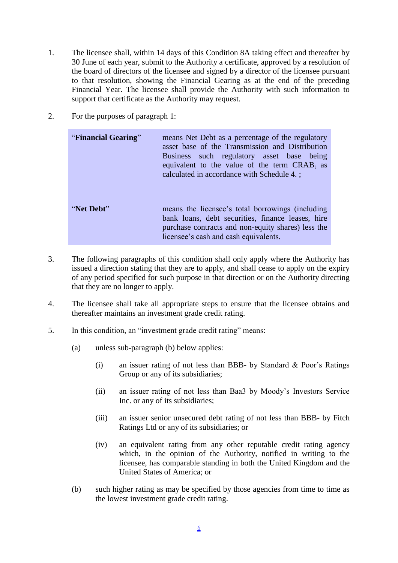- 1. The licensee shall, within 14 days of this Condition 8A taking effect and thereafter by 30 June of each year, submit to the Authority a certificate, approved by a resolution of the board of directors of the licensee and signed by a director of the licensee pursuant to that resolution, showing the Financial Gearing as at the end of the preceding Financial Year. The licensee shall provide the Authority with such information to support that certificate as the Authority may request.
- 2. For the purposes of paragraph 1:

| "Financial Gearing" | means Net Debt as a percentage of the regulatory<br>asset base of the Transmission and Distribution<br>Business such regulatory asset base being<br>equivalent to the value of the term $CRABt$ as<br>calculated in accordance with Schedule 4.; |
|---------------------|--------------------------------------------------------------------------------------------------------------------------------------------------------------------------------------------------------------------------------------------------|
| "Net Debt"          | means the licensee's total borrowings (including<br>bank loans, debt securities, finance leases, hire<br>purchase contracts and non-equity shares) less the<br>licensee's cash and cash equivalents.                                             |

- 3. The following paragraphs of this condition shall only apply where the Authority has issued a direction stating that they are to apply, and shall cease to apply on the expiry of any period specified for such purpose in that direction or on the Authority directing that they are no longer to apply.
- 4. The licensee shall take all appropriate steps to ensure that the licensee obtains and thereafter maintains an investment grade credit rating.
- 5. In this condition, an "investment grade credit rating" means:
	- (a) unless sub-paragraph (b) below applies:
		- (i) an issuer rating of not less than BBB- by Standard  $\&$  Poor's Ratings Group or any of its subsidiaries;
		- (ii) an issuer rating of not less than Baa3 by Moody's Investors Service Inc. or any of its subsidiaries;
		- (iii) an issuer senior unsecured debt rating of not less than BBB- by Fitch Ratings Ltd or any of its subsidiaries; or
		- (iv) an equivalent rating from any other reputable credit rating agency which, in the opinion of the Authority, notified in writing to the licensee, has comparable standing in both the United Kingdom and the United States of America; or
	- (b) such higher rating as may be specified by those agencies from time to time as the lowest investment grade credit rating.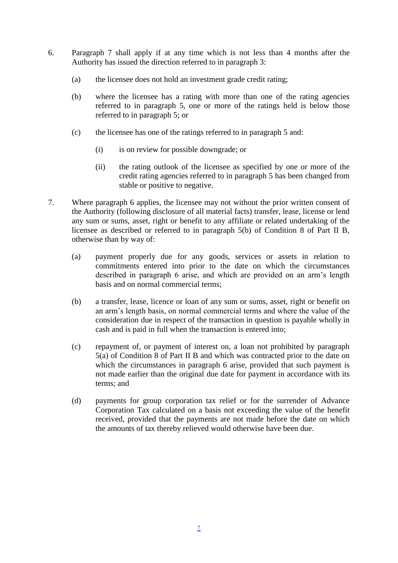- 6. Paragraph 7 shall apply if at any time which is not less than 4 months after the Authority has issued the direction referred to in paragraph 3:
	- (a) the licensee does not hold an investment grade credit rating;
	- (b) where the licensee has a rating with more than one of the rating agencies referred to in paragraph 5, one or more of the ratings held is below those referred to in paragraph 5; or
	- (c) the licensee has one of the ratings referred to in paragraph 5 and:
		- (i) is on review for possible downgrade; or
		- (ii) the rating outlook of the licensee as specified by one or more of the credit rating agencies referred to in paragraph 5 has been changed from stable or positive to negative.
- 7. Where paragraph 6 applies, the licensee may not without the prior written consent of the Authority (following disclosure of all material facts) transfer, lease, license or lend any sum or sums, asset, right or benefit to any affiliate or related undertaking of the licensee as described or referred to in paragraph 5(b) of Condition 8 of Part II B, otherwise than by way of:
	- (a) payment properly due for any goods, services or assets in relation to commitments entered into prior to the date on which the circumstances described in paragraph 6 arise, and which are provided on an arm's length basis and on normal commercial terms;
	- (b) a transfer, lease, licence or loan of any sum or sums, asset, right or benefit on an arm's length basis, on normal commercial terms and where the value of the consideration due in respect of the transaction in question is payable wholly in cash and is paid in full when the transaction is entered into;
	- (c) repayment of, or payment of interest on, a loan not prohibited by paragraph 5(a) of Condition 8 of Part II B and which was contracted prior to the date on which the circumstances in paragraph 6 arise, provided that such payment is not made earlier than the original due date for payment in accordance with its terms; and
	- (d) payments for group corporation tax relief or for the surrender of Advance Corporation Tax calculated on a basis not exceeding the value of the benefit received, provided that the payments are not made before the date on which the amounts of tax thereby relieved would otherwise have been due.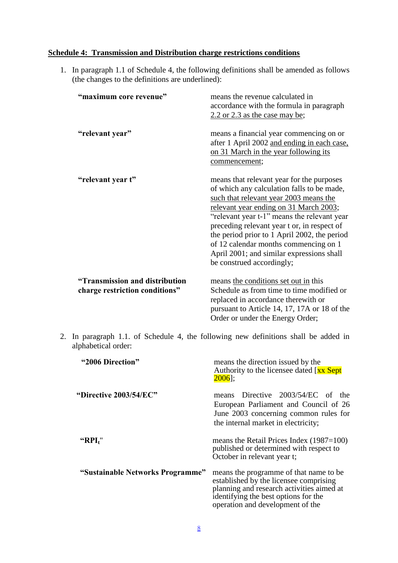### **Schedule 4: Transmission and Distribution charge restrictions conditions**

1. In paragraph 1.1 of Schedule 4, the following definitions shall be amended as follows (the changes to the definitions are underlined):

| "maximum core revenue"                                           | means the revenue calculated in<br>accordance with the formula in paragraph<br>$2.2$ or 2.3 as the case may be;                                                                                                                                                                                                                                                                                                                              |
|------------------------------------------------------------------|----------------------------------------------------------------------------------------------------------------------------------------------------------------------------------------------------------------------------------------------------------------------------------------------------------------------------------------------------------------------------------------------------------------------------------------------|
| "relevant year"                                                  | means a financial year commencing on or<br>after 1 April 2002 and ending in each case,<br>on 31 March in the year following its<br>commencement;                                                                                                                                                                                                                                                                                             |
| "relevant year t"                                                | means that relevant year for the purposes<br>of which any calculation falls to be made,<br>such that relevant year 2003 means the<br>relevant year ending on 31 March 2003;<br>"relevant year t-1" means the relevant year<br>preceding relevant year t or, in respect of<br>the period prior to 1 April 2002, the period<br>of 12 calendar months commencing on 1<br>April 2001; and similar expressions shall<br>be construed accordingly; |
| "Transmission and distribution<br>charge restriction conditions" | means the conditions set out in this<br>Schedule as from time to time modified or<br>replaced in accordance therewith or<br>pursuant to Article 14, 17, 17A or 18 of the<br>Order or under the Energy Order;                                                                                                                                                                                                                                 |

2. In paragraph 1.1. of Schedule 4, the following new definitions shall be added in alphabetical order:

| "2006 Direction"                 | means the direction issued by the<br>Authority to the licensee dated [xx Sept]<br>$2006$ :                                                                                                                |
|----------------------------------|-----------------------------------------------------------------------------------------------------------------------------------------------------------------------------------------------------------|
| "Directive 2003/54/EC"           | means Directive 2003/54/EC of the<br>European Parliament and Council of 26<br>June 2003 concerning common rules for<br>the internal market in electricity;                                                |
| " $RPI_t$ "                      | means the Retail Prices Index $(1987=100)$<br>published or determined with respect to<br>October in relevant year t;                                                                                      |
| "Sustainable Networks Programme" | means the programme of that name to be<br>established by the licensee comprising<br>planning and research activities aimed at<br>identifying the best options for the<br>operation and development of the |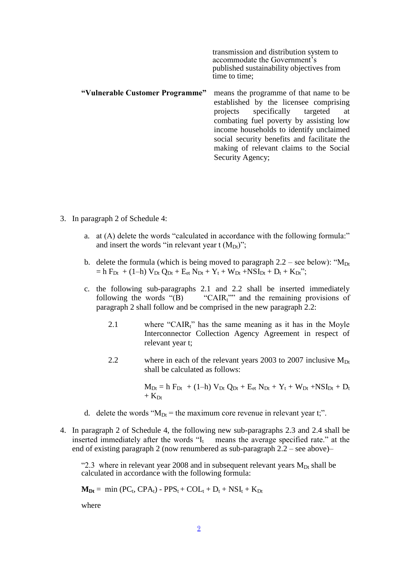transmission and distribution system to accommodate the Government's published sustainability objectives from time to time;

- **"Vulnerable Customer Programme"** means the programme of that name to be established by the licensee comprising projects specifically targeted at combating fuel poverty by assisting low income households to identify unclaimed social security benefits and facilitate the making of relevant claims to the Social Security Agency;
- 3. In paragraph 2 of Schedule 4:
	- a. at (A) delete the words "calculated in accordance with the following formula:" and insert the words "in relevant year t  $(M_{Dt})$ ";
	- b. delete the formula (which is being moved to paragraph  $2.2$  see below): " $M_{Dt}$  $=$  h F<sub>Dt</sub> + (1–h)  $V_{Dt} Q_{Dt} + E_{et} N_{Dt} + Y_t + W_{Dt} + NSI_{Dt} + D_t + K_{Dt}$ ";
	- c. the following sub-paragraphs 2.1 and 2.2 shall be inserted immediately following the words " $(B)$  "CAIR<sub>t</sub>"" and the remaining provisions of paragraph 2 shall follow and be comprised in the new paragraph 2.2:
		- 2.1 where "CAIR<sub>t</sub>" has the same meaning as it has in the Moyle Interconnector Collection Agency Agreement in respect of relevant year t;
		- 2.2 where in each of the relevant years 2003 to 2007 inclusive  $M_{Dt}$ shall be calculated as follows:

 $M_{Dt} = h F_{Dt} + (1-h) V_{Dt} Q_{Dt} + E_{et} N_{Dt} + Y_t + W_{Dt} + NSI_{Dt} + D_t$  $+$  K<sub>Dt</sub>

- d. delete the words " $M_{Dt}$  = the maximum core revenue in relevant year t;".
- 4. In paragraph 2 of Schedule 4, the following new sub-paragraphs 2.3 and 2.4 shall be inserted immediately after the words "I<sub>t</sub> means the average specified rate." at the end of existing paragraph 2 (now renumbered as sub-paragraph 2.2 – see above)–

"2.3 where in relevant year 2008 and in subsequent relevant years  $M_{Dt}$  shall be calculated in accordance with the following formula:

 $M_{Dt} = min (PC_t, CPA_t) - PPS_t + COL_t + D_t + NSI_t + K_{Dt}$ 

where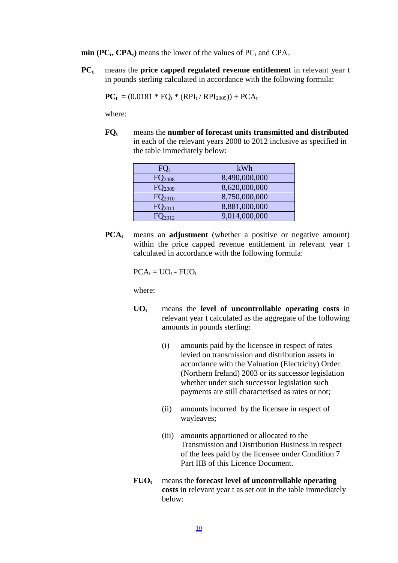$\min$  (PC<sub>t</sub>, CPA<sub>t</sub>) means the lower of the values of PC<sub>t</sub> and CPA<sub>t</sub>.

**PC<sup>t</sup>** means the **price capped regulated revenue entitlement** in relevant year t in pounds sterling calculated in accordance with the following formula:

$$
PC_t = (0.0181 * FQ_t * (RPI_t / RPI_{2005})) + PCA_t
$$

where:

**FQ<sup>t</sup>** means the **number of forecast units transmitted and distributed** in each of the relevant years 2008 to 2012 inclusive as specified in the table immediately below:

| $FQ_t$               | kWh           |
|----------------------|---------------|
| FQ <sub>2008</sub>   | 8,490,000,000 |
| $FQ_{2009}$          | 8,620,000,000 |
| $FQ_{2010}$          | 8,750,000,000 |
| $FQ_{2011}$          | 8,881,000,000 |
| $\mathsf{FQ}_{2012}$ | 9,014,000,000 |

**PCAt** means an **adjustment** (whether a positive or negative amount) within the price capped revenue entitlement in relevant year t calculated in accordance with the following formula:

 $PCA_t = UO_t - FUO_t$ 

where:

- **UO<sup>t</sup>** means the **level of uncontrollable operating costs** in relevant year t calculated as the aggregate of the following amounts in pounds sterling:
	- (i) amounts paid by the licensee in respect of rates levied on transmission and distribution assets in accordance with the Valuation (Electricity) Order (Northern Ireland) 2003 or its successor legislation whether under such successor legislation such payments are still characterised as rates or not;
	- (ii) amounts incurred by the licensee in respect of wayleaves;
	- (iii) amounts apportioned or allocated to the Transmission and Distribution Business in respect of the fees paid by the licensee under Condition 7 Part IIB of this Licence Document.
- **FUO<sup>t</sup>** means the **forecast level of uncontrollable operating costs** in relevant year t as set out in the table immediately below: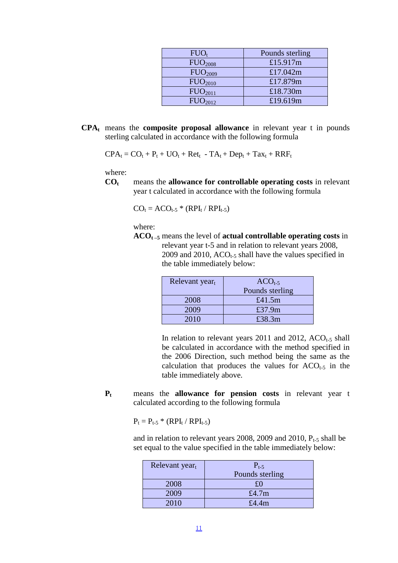| $FUO_t$             | Pounds sterling |
|---------------------|-----------------|
| FUO <sub>2008</sub> | £15.917m        |
| FUO <sub>2009</sub> | £17.042m        |
| FUO <sub>2010</sub> | £17.879m        |
| FUO <sub>2011</sub> | £18.730m        |
| FUO <sub>2012</sub> | £19.619m        |

**CPA<sup>t</sup>** means the **composite proposal allowance** in relevant year t in pounds sterling calculated in accordance with the following formula

$$
CPA_t = CO_t + P_t + UO_t + Ret_t - TA_t + Dep_t + Tax_t + RRF_t
$$

where:

**CO<sup>t</sup>** means the **allowance for controllable operating costs** in relevant year t calculated in accordance with the following formula

$$
CO_t = ACO_{t-5} * (RPI_t / RPI_{t-5})
$$

where:

**ACOt –5** means the level of **actual controllable operating costs** in relevant year t-5 and in relation to relevant years 2008, 2009 and 2010,  $ACO<sub>t-5</sub>$  shall have the values specified in the table immediately below:

| Relevant yeart | $ACOt-5$        |
|----------------|-----------------|
|                | Pounds sterling |
| 2008           | £41.5 $m$       |
| 2009           | £37.9m          |
| 2010           | £38.3m          |

In relation to relevant years 2011 and 2012,  $ACO<sub>t-5</sub>$  shall be calculated in accordance with the method specified in the 2006 Direction, such method being the same as the calculation that produces the values for  $ACO<sub>t-5</sub>$  in the table immediately above.

**P<sup>t</sup>** means the **allowance for pension costs** in relevant year t calculated according to the following formula

 $P_t = P_{t-5} * (RPI_t / RPI_{t-5})$ 

and in relation to relevant years 2008, 2009 and 2010,  $P_{t-5}$  shall be set equal to the value specified in the table immediately below:

| Relevant yeart | $P_{t-5}$       |
|----------------|-----------------|
|                | Pounds sterling |
| 2008           |                 |
| 2009           | £4.7m           |
| 2010           | £4.4m           |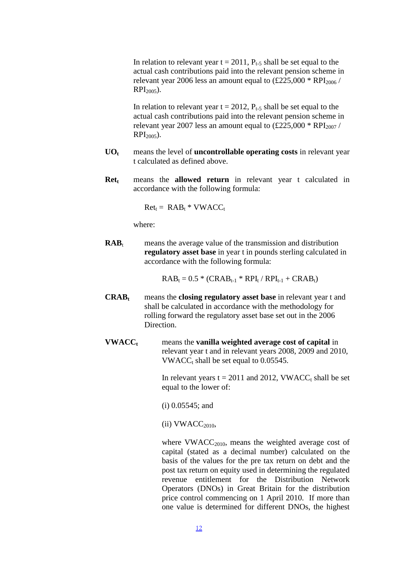In relation to relevant year  $t = 2011$ ,  $P_{t-5}$  shall be set equal to the actual cash contributions paid into the relevant pension scheme in relevant year 2006 less an amount equal to  $(\text{\pounds}225,000 * \text{RPI}_{2006})$  $RPI_{2005}$ ).

In relation to relevant year  $t = 2012$ ,  $P_{t-5}$  shall be set equal to the actual cash contributions paid into the relevant pension scheme in relevant year 2007 less an amount equal to  $(\text{\pounds}225,000 * \text{RPI}_{2007})$  $RPI_{2005}$ ).

- **UO<sup>t</sup>** means the level of **uncontrollable operating costs** in relevant year t calculated as defined above.
- **Ret<sup>t</sup>** means the **allowed return** in relevant year t calculated in accordance with the following formula:

 $Ret_t = RAB_t * VWACC_t$ 

where:

 $RAB_t$  means the average value of the transmission and distribution **regulatory asset base** in year t in pounds sterling calculated in accordance with the following formula:

 $RAB_t = 0.5 * (CRAB_{t-1} * RPI_t / RPI_{t-1} + CRAB_t)$ 

- **CRAB<sup>t</sup>** means the **closing regulatory asset base** in relevant year t and shall be calculated in accordance with the methodology for rolling forward the regulatory asset base set out in the 2006 Direction.
- **VWACC<sup>t</sup>** means the **vanilla weighted average cost of capital** in relevant year t and in relevant years 2008, 2009 and 2010, VWACC<sub>t</sub> shall be set equal to  $0.05545$ .

In relevant years  $t = 2011$  and 2012, VWACC<sub>t</sub> shall be set equal to the lower of:

- (i) 0.05545; and
- $(ii)$  VWACC<sub>2010</sub>,

where VWACC<sub>2010</sub>, means the weighted average cost of capital (stated as a decimal number) calculated on the basis of the values for the pre tax return on debt and the post tax return on equity used in determining the regulated revenue entitlement for the Distribution Network Operators (DNOs) in Great Britain for the distribution price control commencing on 1 April 2010. If more than one value is determined for different DNOs, the highest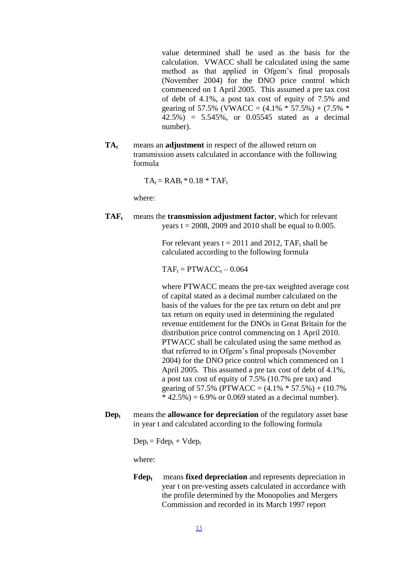value determined shall be used as the basis for the calculation. VWACC shall be calculated using the same method as that applied in Ofgem's final proposals (November 2004) for the DNO price control which commenced on 1 April 2005. This assumed a pre tax cost of debt of 4.1%, a post tax cost of equity of 7.5% and gearing of 57.5% (VWACC =  $(4.1\% * 57.5\%) + (7.5\% *$ 42.5%) = 5.545%, or 0.05545 stated as a decimal number).

**TA<sup>t</sup>** means an **adjustment** in respect of the allowed return on transmission assets calculated in accordance with the following formula

 $TA_t = RAB_t * 0.18 * TAF_t$ 

where:

**TAFt** means the **transmission adjustment factor**, which for relevant years  $t = 2008$ , 2009 and 2010 shall be equal to 0.005.

> For relevant years  $t = 2011$  and 2012, TAF<sub>t</sub> shall be calculated according to the following formula

 $TAF_t = PTWACC_t - 0.064$ 

where PTWACC means the pre-tax weighted average cost of capital stated as a decimal number calculated on the basis of the values for the pre tax return on debt and pre tax return on equity used in determining the regulated revenue entitlement for the DNOs in Great Britain for the distribution price control commencing on 1 April 2010. PTWACC shall be calculated using the same method as that referred to in Ofgem's final proposals (November 2004) for the DNO price control which commenced on 1 April 2005. This assumed a pre tax cost of debt of 4.1%, a post tax cost of equity of 7.5% (10.7% pre tax) and gearing of 57.5% (PTWACC =  $(4.1\% * 57.5\%) + (10.7\%$  $*$  42.5%) = 6.9% or 0.069 stated as a decimal number).

**Dep<sup>t</sup>** means the **allowance for depreciation** of the regulatory asset base in year t and calculated according to the following formula

 $Dep_t = Fdep_t + Vdep_t$ 

where:

**Fdep<sup>t</sup>** means **fixed depreciation** and represents depreciation in year t on pre-vesting assets calculated in accordance with the profile determined by the Monopolies and Mergers Commission and recorded in its March 1997 report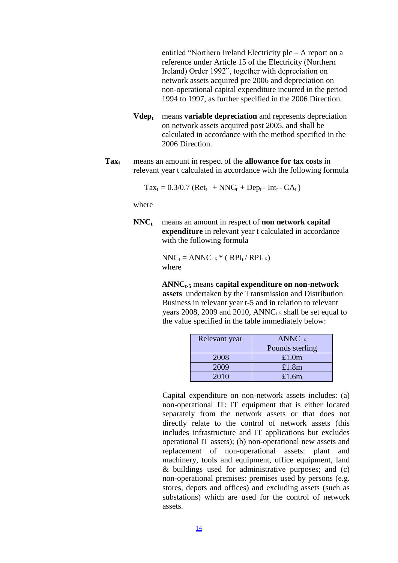entitled "Northern Ireland Electricity plc – A report on a reference under Article 15 of the Electricity (Northern Ireland) Order 1992", together with depreciation on network assets acquired pre 2006 and depreciation on non-operational capital expenditure incurred in the period 1994 to 1997, as further specified in the 2006 Direction.

- **Vdep<sup>t</sup>** means **variable depreciation** and represents depreciation on network assets acquired post 2005, and shall be calculated in accordance with the method specified in the 2006 Direction.
- **Tax<sup>t</sup>** means an amount in respect of the **allowance for tax costs** in relevant year t calculated in accordance with the following formula

$$
Tax_t = 0.3/0.7 (Ret_t + NNC_t + Dep_t - Int_t - CA_t)
$$

where

**NNC<sup>t</sup>** means an amount in respect of **non network capital expenditure** in relevant year t calculated in accordance with the following formula

> $NNC_t = ANNC_{t-5} * (RPI_t / RPI_{t-5})$ where

**ANNCt-5** means **capital expenditure on non-network assets** undertaken by the Transmission and Distribution Business in relevant year t-5 and in relation to relevant years 2008, 2009 and 2010,  $\text{ANNC}_{t-5}$  shall be set equal to the value specified in the table immediately below:

| Relevant yeart | $ANNCt-5$       |
|----------------|-----------------|
|                | Pounds sterling |
| 2008           | £1.0m           |
| 2009           | £1.8 $m$        |
| 2010           | £1.6 $m$        |

Capital expenditure on non-network assets includes: (a) non-operational IT: IT equipment that is either located separately from the network assets or that does not directly relate to the control of network assets (this includes infrastructure and IT applications but excludes operational IT assets); (b) non-operational new assets and replacement of non-operational assets: plant and machinery, tools and equipment, office equipment, land & buildings used for administrative purposes; and (c) non-operational premises: premises used by persons (e.g. stores, depots and offices) and excluding assets (such as substations) which are used for the control of network assets.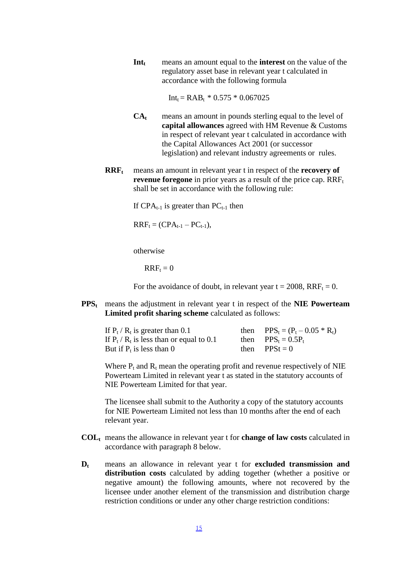**Int<sup>t</sup>** means an amount equal to the **interest** on the value of the regulatory asset base in relevant year t calculated in accordance with the following formula

 $Int_t = RAB_t * 0.575 * 0.067025$ 

- **CA<sup>t</sup>** means an amount in pounds sterling equal to the level of **capital allowances** agreed with HM Revenue & Customs in respect of relevant year t calculated in accordance with the Capital Allowances Act 2001 (or successor legislation) and relevant industry agreements or rules.
- **RRF<sup>t</sup>** means an amount in relevant year t in respect of the **recovery of revenue foregone** in prior years as a result of the price cap. RRF<sub>t</sub> shall be set in accordance with the following rule:

If  $CPA_{t-1}$  is greater than  $PC_{t-1}$  then

 $RRF_{t} = (CPA_{t-1} - PC_{t-1}),$ 

otherwise

 $RRF_t = 0$ 

For the avoidance of doubt, in relevant year  $t = 2008$ ,  $RRF_t = 0$ .

**PPS<sup>t</sup>** means the adjustment in relevant year t in respect of the **NIE Powerteam Limited profit sharing scheme** calculated as follows:

| If $P_t$ / $R_t$ is greater than 0.1          | then $PPS_t = (P_t - 0.05 * R_t)$ |
|-----------------------------------------------|-----------------------------------|
| If $P_t$ / $R_t$ is less than or equal to 0.1 | then $PPS_t = 0.5P_t$             |
| But if $P_t$ is less than 0                   | then $PPSt = 0$                   |

Where  $P_t$  and  $R_t$  mean the operating profit and revenue respectively of NIE Powerteam Limited in relevant year t as stated in the statutory accounts of NIE Powerteam Limited for that year.

The licensee shall submit to the Authority a copy of the statutory accounts for NIE Powerteam Limited not less than 10 months after the end of each relevant year.

- **COL<sup>t</sup>** means the allowance in relevant year t for **change of law costs** calculated in accordance with paragraph 8 below.
- **D<sup>t</sup>** means an allowance in relevant year t for **excluded transmission and distribution costs** calculated by adding together (whether a positive or negative amount) the following amounts, where not recovered by the licensee under another element of the transmission and distribution charge restriction conditions or under any other charge restriction conditions: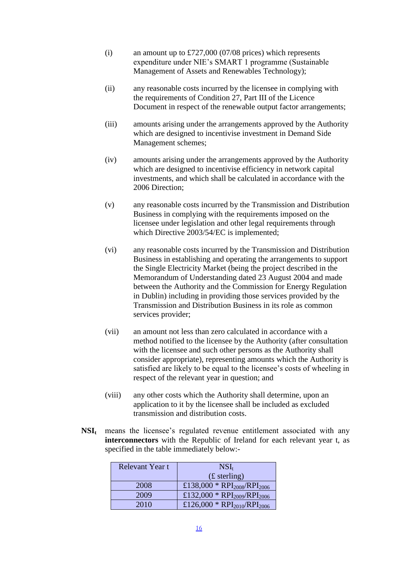- (i) an amount up to £727,000 (07/08 prices) which represents expenditure under NIE's SMART 1 programme (Sustainable Management of Assets and Renewables Technology);
- (ii) any reasonable costs incurred by the licensee in complying with the requirements of Condition 27, Part III of the Licence Document in respect of the renewable output factor arrangements;
- (iii) amounts arising under the arrangements approved by the Authority which are designed to incentivise investment in Demand Side Management schemes;
- (iv) amounts arising under the arrangements approved by the Authority which are designed to incentivise efficiency in network capital investments, and which shall be calculated in accordance with the 2006 Direction;
- (v) any reasonable costs incurred by the Transmission and Distribution Business in complying with the requirements imposed on the licensee under legislation and other legal requirements through which Directive 2003/54/EC is implemented;
- (vi) any reasonable costs incurred by the Transmission and Distribution Business in establishing and operating the arrangements to support the Single Electricity Market (being the project described in the Memorandum of Understanding dated 23 August 2004 and made between the Authority and the Commission for Energy Regulation in Dublin) including in providing those services provided by the Transmission and Distribution Business in its role as common services provider;
- (vii) an amount not less than zero calculated in accordance with a method notified to the licensee by the Authority (after consultation with the licensee and such other persons as the Authority shall consider appropriate), representing amounts which the Authority is satisfied are likely to be equal to the licensee's costs of wheeling in respect of the relevant year in question; and
- (viii) any other costs which the Authority shall determine, upon an application to it by the licensee shall be included as excluded transmission and distribution costs.
- **NSI<sup>t</sup>** means the licensee's regulated revenue entitlement associated with any **interconnectors** with the Republic of Ireland for each relevant year t, as specified in the table immediately below:-

| Relevant Year t | $NSI_t$                                             |
|-----------------|-----------------------------------------------------|
|                 | (f <sub>sterling</sub> )                            |
| 2008            | £138,000 * RPI <sub>2008</sub> /RPI <sub>2006</sub> |
| 2009            | £132,000 * RPI <sub>2009</sub> /RPI <sub>2006</sub> |
| 2010            | £126,000 * RPI <sub>2010</sub> /RPI <sub>2006</sub> |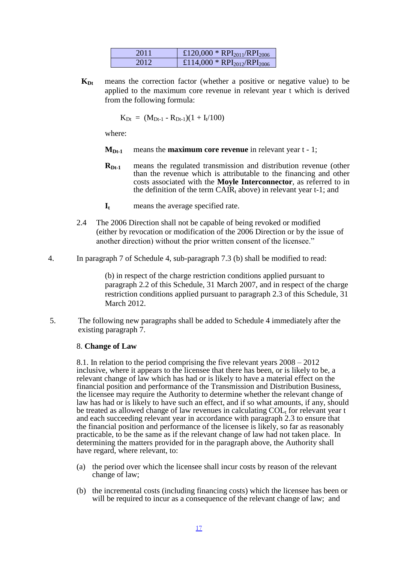| 2011  | £120,000 * RPI <sub>2011</sub> /RPI <sub>2006</sub> |
|-------|-----------------------------------------------------|
| 2012. | £114,000 * RPI <sub>2012</sub> /RPI <sub>2006</sub> |

**KDt** means the correction factor (whether a positive or negative value) to be applied to the maximum core revenue in relevant year t which is derived from the following formula:

$$
K_{Dt} \; = \; (M_{Dt\text{-}1} \text{ - } R_{Dt\text{-}1}) (1 + I_{t}/100)
$$

where:

- $M_{Dt-1}$  means the **maximum** core revenue in relevant year  $t 1$ ;
- **RDt**-1</sub> means the regulated transmission and distribution revenue (other than the revenue which is attributable to the financing and other costs associated with the **Moyle Interconnector**, as referred to in the definition of the term  $CAIR_t$  above) in relevant year t-1; and
- **I<sup>t</sup>** means the average specified rate.
- 2.4 The 2006 Direction shall not be capable of being revoked or modified (either by revocation or modification of the 2006 Direction or by the issue of another direction) without the prior written consent of the licensee."
- 4. In paragraph 7 of Schedule 4, sub-paragraph 7.3 (b) shall be modified to read:

(b) in respect of the charge restriction conditions applied pursuant to paragraph 2.2 of this Schedule, 31 March 2007, and in respect of the charge restriction conditions applied pursuant to paragraph 2.3 of this Schedule, 31 March 2012.

5. The following new paragraphs shall be added to Schedule 4 immediately after the existing paragraph 7.

#### 8. **Change of Law**

8.1. In relation to the period comprising the five relevant years 2008 – 2012 inclusive, where it appears to the licensee that there has been, or is likely to be, a relevant change of law which has had or is likely to have a material effect on the financial position and performance of the Transmission and Distribution Business, the licensee may require the Authority to determine whether the relevant change of law has had or is likely to have such an effect, and if so what amounts, if any, should be treated as allowed change of law revenues in calculating  $COL<sub>t</sub>$  for relevant year t and each succeeding relevant year in accordance with paragraph 2.3 to ensure that the financial position and performance of the licensee is likely, so far as reasonably practicable, to be the same as if the relevant change of law had not taken place. In determining the matters provided for in the paragraph above, the Authority shall have regard, where relevant, to:

- (a) the period over which the licensee shall incur costs by reason of the relevant change of law;
- (b) the incremental costs (including financing costs) which the licensee has been or will be required to incur as a consequence of the relevant change of law; and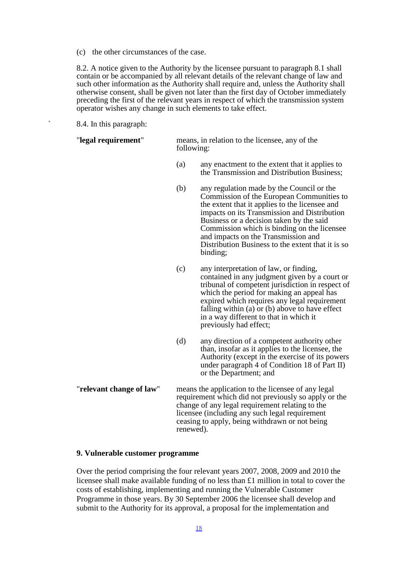(c) the other circumstances of the case.

8.2. A notice given to the Authority by the licensee pursuant to paragraph 8.1 shall contain or be accompanied by all relevant details of the relevant change of law and such other information as the Authority shall require and, unless the Authority shall otherwise consent, shall be given not later than the first day of October immediately preceding the first of the relevant years in respect of which the transmission system operator wishes any change in such elements to take effect.

8.4. In this paragraph:

| "legal requirement" | means, in relation to the licensee, any of the<br>following: |
|---------------------|--------------------------------------------------------------|
|                     |                                                              |

- (a) any enactment to the extent that it applies to the Transmission and Distribution Business;
- (b) any regulation made by the Council or the Commission of the European Communities to the extent that it applies to the licensee and impacts on its Transmission and Distribution Business or a decision taken by the said Commission which is binding on the licensee and impacts on the Transmission and Distribution Business to the extent that it is so binding;
- (c) any interpretation of law, or finding, contained in any judgment given by a court or tribunal of competent jurisdiction in respect of which the period for making an appeal has expired which requires any legal requirement falling within (a) or (b) above to have effect in a way different to that in which it previously had effect;
- (d) any direction of a competent authority other than, insofar as it applies to the licensee, the Authority (except in the exercise of its powers under paragraph 4 of Condition 18 of Part II) or the Department; and
- "**relevant change of law**" means the application to the licensee of any legal requirement which did not previously so apply or the change of any legal requirement relating to the licensee (including any such legal requirement ceasing to apply, being withdrawn or not being renewed).

### **9. Vulnerable customer programme**

Over the period comprising the four relevant years 2007, 2008, 2009 and 2010 the licensee shall make available funding of no less than £1 million in total to cover the costs of establishing, implementing and running the Vulnerable Customer Programme in those years. By 30 September 2006 the licensee shall develop and submit to the Authority for its approval, a proposal for the implementation and